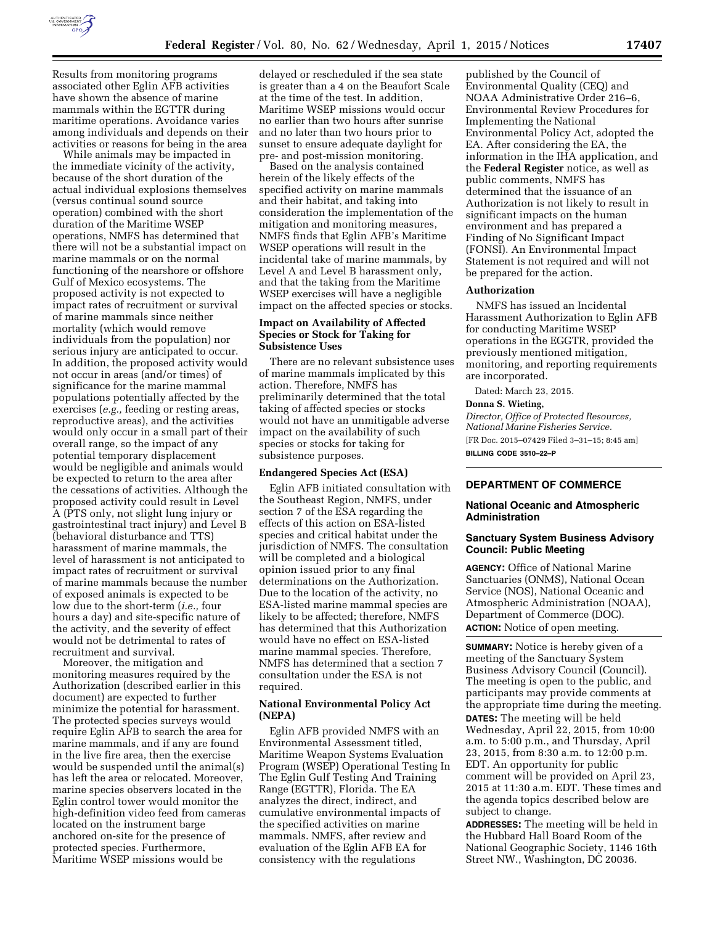

Results from monitoring programs associated other Eglin AFB activities have shown the absence of marine mammals within the EGTTR during maritime operations. Avoidance varies among individuals and depends on their activities or reasons for being in the area

While animals may be impacted in the immediate vicinity of the activity, because of the short duration of the actual individual explosions themselves (versus continual sound source operation) combined with the short duration of the Maritime WSEP operations, NMFS has determined that there will not be a substantial impact on marine mammals or on the normal functioning of the nearshore or offshore Gulf of Mexico ecosystems. The proposed activity is not expected to impact rates of recruitment or survival of marine mammals since neither mortality (which would remove individuals from the population) nor serious injury are anticipated to occur. In addition, the proposed activity would not occur in areas (and/or times) of significance for the marine mammal populations potentially affected by the exercises (*e.g.,* feeding or resting areas, reproductive areas), and the activities would only occur in a small part of their overall range, so the impact of any potential temporary displacement would be negligible and animals would be expected to return to the area after the cessations of activities. Although the proposed activity could result in Level A (PTS only, not slight lung injury or gastrointestinal tract injury) and Level B (behavioral disturbance and TTS) harassment of marine mammals, the level of harassment is not anticipated to impact rates of recruitment or survival of marine mammals because the number of exposed animals is expected to be low due to the short-term (*i.e.,* four hours a day) and site-specific nature of the activity, and the severity of effect would not be detrimental to rates of recruitment and survival.

Moreover, the mitigation and monitoring measures required by the Authorization (described earlier in this document) are expected to further minimize the potential for harassment. The protected species surveys would require Eglin AFB to search the area for marine mammals, and if any are found in the live fire area, then the exercise would be suspended until the animal(s) has left the area or relocated. Moreover, marine species observers located in the Eglin control tower would monitor the high-definition video feed from cameras located on the instrument barge anchored on-site for the presence of protected species. Furthermore, Maritime WSEP missions would be

delayed or rescheduled if the sea state is greater than a 4 on the Beaufort Scale at the time of the test. In addition, Maritime WSEP missions would occur no earlier than two hours after sunrise and no later than two hours prior to sunset to ensure adequate daylight for pre- and post-mission monitoring.

Based on the analysis contained herein of the likely effects of the specified activity on marine mammals and their habitat, and taking into consideration the implementation of the mitigation and monitoring measures, NMFS finds that Eglin AFB's Maritime WSEP operations will result in the incidental take of marine mammals, by Level A and Level B harassment only, and that the taking from the Maritime WSEP exercises will have a negligible impact on the affected species or stocks.

## **Impact on Availability of Affected Species or Stock for Taking for Subsistence Uses**

There are no relevant subsistence uses of marine mammals implicated by this action. Therefore, NMFS has preliminarily determined that the total taking of affected species or stocks would not have an unmitigable adverse impact on the availability of such species or stocks for taking for subsistence purposes.

## **Endangered Species Act (ESA)**

Eglin AFB initiated consultation with the Southeast Region, NMFS, under section 7 of the ESA regarding the effects of this action on ESA-listed species and critical habitat under the jurisdiction of NMFS. The consultation will be completed and a biological opinion issued prior to any final determinations on the Authorization. Due to the location of the activity, no ESA-listed marine mammal species are likely to be affected; therefore, NMFS has determined that this Authorization would have no effect on ESA-listed marine mammal species. Therefore, NMFS has determined that a section 7 consultation under the ESA is not required.

## **National Environmental Policy Act (NEPA)**

Eglin AFB provided NMFS with an Environmental Assessment titled, Maritime Weapon Systems Evaluation Program (WSEP) Operational Testing In The Eglin Gulf Testing And Training Range (EGTTR), Florida. The EA analyzes the direct, indirect, and cumulative environmental impacts of the specified activities on marine mammals. NMFS, after review and evaluation of the Eglin AFB EA for consistency with the regulations

published by the Council of Environmental Quality (CEQ) and NOAA Administrative Order 216–6, Environmental Review Procedures for Implementing the National Environmental Policy Act, adopted the EA. After considering the EA, the information in the IHA application, and the **Federal Register** notice, as well as public comments, NMFS has determined that the issuance of an Authorization is not likely to result in significant impacts on the human environment and has prepared a Finding of No Significant Impact (FONSI). An Environmental Impact Statement is not required and will not be prepared for the action.

## **Authorization**

NMFS has issued an Incidental Harassment Authorization to Eglin AFB for conducting Maritime WSEP operations in the EGGTR, provided the previously mentioned mitigation, monitoring, and reporting requirements are incorporated.

Dated: March 23, 2015.

# **Donna S. Wieting,**

*Director, Office of Protected Resources, National Marine Fisheries Service.*  [FR Doc. 2015–07429 Filed 3–31–15; 8:45 am] **BILLING CODE 3510–22–P** 

# **DEPARTMENT OF COMMERCE**

## **National Oceanic and Atmospheric Administration**

## **Sanctuary System Business Advisory Council: Public Meeting**

**AGENCY:** Office of National Marine Sanctuaries (ONMS), National Ocean Service (NOS), National Oceanic and Atmospheric Administration (NOAA), Department of Commerce (DOC). **ACTION:** Notice of open meeting.

**SUMMARY:** Notice is hereby given of a meeting of the Sanctuary System Business Advisory Council (Council). The meeting is open to the public, and participants may provide comments at the appropriate time during the meeting. **DATES:** The meeting will be held Wednesday, April 22, 2015, from 10:00 a.m. to 5:00 p.m., and Thursday, April 23, 2015, from 8:30 a.m. to 12:00 p.m. EDT. An opportunity for public comment will be provided on April 23, 2015 at 11:30 a.m. EDT. These times and the agenda topics described below are subject to change.

**ADDRESSES:** The meeting will be held in the Hubbard Hall Board Room of the National Geographic Society, 1146 16th Street NW., Washington, DC 20036.